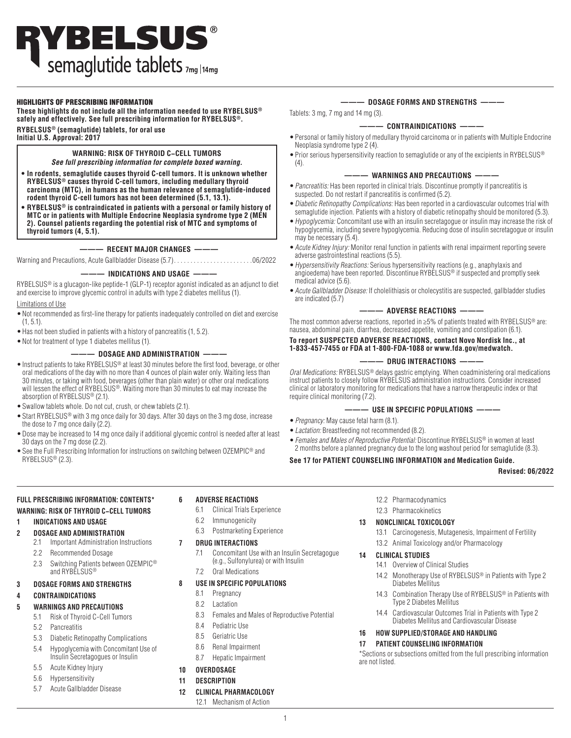## HIGHLIGHTS OF PRESCRIBING INFORMATION

**These highlights do not include all the information needed to use RYBELSUS® safely and effectively. See full prescribing information for RYBELSUS®.**

**RYBELSUS® (semaglutide) tablets, for oral use Initial U.S. Approval: 2017**

# **WARNING: RISK OF THYROID C−CELL TUMORS**

*See full prescribing information for complete boxed warning.* 

- **In rodents, semaglutide causes thyroid C-cell tumors. It is unknown whether RYBELSUS® causes thyroid C-cell tumors, including medullary thyroid carcinoma (MTC), in humans as the human relevance of semaglutide-induced rodent thyroid C-cell tumors has not been determined (5.1, 13.1).**
- **• RYBELSUS® is contraindicated in patients with a personal or family history of MTC or in patients with Multiple Endocrine Neoplasia syndrome type 2 (MEN 2). Counsel patients regarding the potential risk of MTC and symptoms of thyroid tumors (4, 5.1).**

## **——— RECENT MAJOR CHANGES ———**

Warning and Precautions, Acute Gallbladder Disease (5.7) . 06/2022

### **——— INDICATIONS AND USAGE ———**

RYBELSUS® is a glucagon-like peptide-1 (GLP-1) receptor agonist indicated as an adjunct to diet and exercise to improve glycemic control in adults with type 2 diabetes mellitus (1).

## Limitations of Use

- •Not recommended as first-line therapy for patients inadequately controlled on diet and exercise (1, 5.1).
- •Has not been studied in patients with a history of pancreatitis (1, 5.2).
- •Not for treatment of type 1 diabetes mellitus (1).

## **——— DOSAGE AND ADMINISTRATION ———**

- Instruct patients to take RYBELSUS<sup>®</sup> at least 30 minutes before the first food, beverage, or other oral medications of the day with no more than 4 ounces of plain water only. Waiting less than 30 minutes, or taking with food, beverages (other than plain water) or other oral medications will lessen the effect of RYBELSUS<sup>®</sup>. Waiting more than 30 minutes to eat may increase the absorption of RYBELSUS® (2.1).
- •Swallow tablets whole. Do not cut, crush, or chew tablets (2.1).
- •Start RYBELSUS® with 3 mg once daily for 30 days. After 30 days on the 3 mg dose, increase the dose to 7 mg once daily (2.2).
- •Dose may be increased to 14 mg once daily if additional glycemic control is needed after at least 30 days on the 7 mg dose (2.2).
- •See the Full Prescribing Information for instructions on switching between OZEMPIC® and RYBELSUS® (2.3).

## **——— DOSAGE FORMS AND STRENGTHS ———**

Tablets: 3 mg, 7 mg and 14 mg (3).

## **——— CONTRAINDICATIONS ———**

- •Personal or family history of medullary thyroid carcinoma or in patients with Multiple Endocrine Neoplasia syndrome type 2 (4).
- Prior serious hypersensitivity reaction to semaglutide or any of the excipients in RYBELSUS® (4).

## $-$  WARNINGS AND PRECAUTIONS  $-$

- •Pancreatitis: Has been reported in clinical trials. Discontinue promptly if pancreatitis is suspected. Do not restart if pancreatitis is confirmed (5.2).
- •Diabetic Retinopathy Complications: Has been reported in a cardiovascular outcomes trial with semaglutide injection. Patients with a history of diabetic retinopathy should be monitored (5.3).
- •Hypoglycemia: Concomitant use with an insulin secretagogue or insulin may increase the risk of hypoglycemia, including severe hypoglycemia. Reducing dose of insulin secretagogue or insulin may be necessary (5.4).
- •Acute Kidney Injury: Monitor renal function in patients with renal impairment reporting severe adverse gastrointestinal reactions (5.5).
- •Hypersensitivity Reactions: Serious hypersensitivity reactions (e.g., anaphylaxis and angioedema) have been reported. Discontinue RYBELSUS® if suspected and promptly seek medical advice (5.6).
- •Acute Gallbladder Disease: If cholelithiasis or cholecystitis are suspected, gallbladder studies are indicated (5.7)

### **——— ADVERSE REACTIONS ———**

The most common adverse reactions, reported in ≥5% of patients treated with RYBELSUS® are: nausea, abdominal pain, diarrhea, decreased appetite, vomiting and constipation (6.1).

## **To report SUSPECTED ADVERSE REACTIONS, contact Novo Nordisk Inc., at 1-833-457-7455 or FDA at 1-800-FDA-1088 or www.fda.gov/medwatch.**

## **——— DRUG INTERACTIONS ———**

Oral Medications: RYBELSUS<sup>®</sup> delays gastric emptying. When coadministering oral medications instruct patients to closely follow RYBELSUS administration instructions. Consider increased clinical or laboratory monitoring for medications that have a narrow therapeutic index or that require clinical monitoring (7.2).

## **——— USE IN SPECIFIC POPULATIONS ———**

- •*Pregnancy:* May cause fetal harm (8.1).
- •*Lactation:* Breastfeeding not recommended (8.2).
- •*Females and Males of Reproductive Potential:* Discontinue RYBELSUS® in women at least 2 months before a planned pregnancy due to the long washout period for semaglutide (8.3).

## **See 17 for PATIENT COUNSELING INFORMATION and Medication Guide.**

 **Revised: 06/2022**

## **FULL PRESCRIBING INFORMATION: CONTENTS\***

## **WARNING: RISK OF THYROID C−CELL TUMORS**

- **1 INDICATIONS AND USAGE**
- **2 DOSAGE AND ADMINISTRATION**
	- 2.1 Important Administration Instructions
	- 2.2 Recommended Dosage
	- 2.3 Switching Patients between OZEMPIC® and RYBELSUS®
- **3 DOSAGE FORMS AND STRENGTHS**

## **4 CONTRAINDICATIONS**

- **5 WARNINGS AND PRECAUTIONS**
	- 5.1 Risk of Thyroid C-Cell Tumors
	- 5.2 Pancreatitis
	- 5.3 Diabetic Retinopathy Complications
	- 5.4 Hypoglycemia with Concomitant Use of Insulin Secretagogues or Insulin
	- 5.5 Acute Kidney Injury
	- 5.6 Hypersensitivity
	- 5.7 Acute Gallbladder Disease

## **6 ADVERSE REACTIONS**

- 6.1 Clinical Trials Experience
- 6.2 Immunogenicity
- 6.3 Postmarketing Experience

## **7 DRUG INTERACTIONS**

7.1 Concomitant Use with an Insulin Secretagogue (e.g., Sulfonylurea) or with Insulin

## **8 USE IN SPECIFIC POPULATIONS**

- 8.1 Pregnancy
- 8.2 Lactation
- 8.3 Females and Males of Reproductive Potential
- 8.4 Pediatric Use
- 8.5 Geriatric Use
- 8.6 Renal Impairment
- 8.7 Hepatic Impairment

## **10 OVERDOSAGE**

- **11 DESCRIPTION**
- **12 CLINICAL PHARMACOLOGY**
	- 12.1 Mechanism of Action
- 12.2 Pharmacodynamics
- 12.3 Pharmacokinetics

## **13 NONCLINICAL TOXICOLOGY**

- 13.1 Carcinogenesis, Mutagenesis, Impairment of Fertility
- 13.2 Animal Toxicology and/or Pharmacology

## **14 CLINICAL STUDIES**

- 14.1 Overview of Clinical Studies
- 14.2 Monotherapy Use of RYBELSUS<sup>®</sup> in Patients with Type 2 Diabetes Mellitus
- 14.3 Combination Therapy Use of RYBELSUS<sup>®</sup> in Patients with Type 2 Diabetes Mellitus
- 14.4 Cardiovascular Outcomes Trial in Patients with Type 2 Diabetes Mellitus and Cardiovascular Disease

## **16 HOW SUPPLIED/STORAGE AND HANDLING**

## **17 PATIENT COUNSELING INFORMATION**

\*Sections or subsections omitted from the full prescribing information are not listed.

7.2 Oral Medications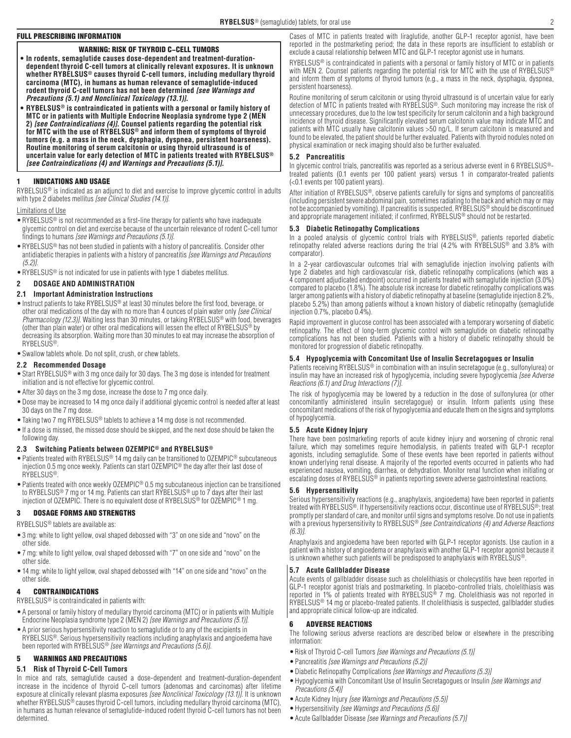## FULL PRESCRIBING INFORMATION

## WARNING: RISK OF THYROID C−CELL TUMORS

- **• In rodents, semaglutide causes dose-dependent and treatment-durationdependent thyroid C-cell tumors at clinically relevant exposures. It is unknown whether RYBELSUS® causes thyroid C-cell tumors, including medullary thyroid carcinoma (MTC), in humans as human relevance of semaglutide-induced rodent thyroid C-cell tumors has not been determined** *[see Warnings and Precautions (5.1) and Nonclinical Toxicology (13.1)]***.**
- **• RYBELSUS® is contraindicated in patients with a personal or family history of MTC or in patients with Multiple Endocrine Neoplasia syndrome type 2 (MEN 2)** *[see Contraindications (4)]***. Counsel patients regarding the potential risk for MTC with the use of RYBELSUS® and inform them of symptoms of thyroid tumors (e.g. a mass in the neck, dysphagia, dyspnea, persistent hoarseness). Routine monitoring of serum calcitonin or using thyroid ultrasound is of uncertain value for early detection of MTC in patients treated with RYBELSUS®** *[see Contraindications (4) and Warnings and Precautions (5.1)]***.**

## 1 INDICATIONS AND USAGE

RYBELSUS® is indicated as an adjunct to diet and exercise to improve glycemic control in adults with type 2 diabetes mellitus *[see Clinical Studies (14.1)]*.

### Limitations of Use

- •RYBELSUS® is not recommended as a first-line therapy for patients who have inadequate glycemic control on diet and exercise because of the uncertain relevance of rodent C-cell tumor findings to humans *[see Warnings and Precautions (5.1)]*.
- •RYBELSUS® has not been studied in patients with a history of pancreatitis. Consider other antidiabetic therapies in patients with a history of pancreatitis *[see Warnings and Precautions (5.2)]*.
- •RYBELSUS® is not indicated for use in patients with type 1 diabetes mellitus.

### **2 DOSAGE AND ADMINISTRATION**

### **2.1 Important Administration Instructions**

•Instruct patients to take RYBELSUS® at least 30 minutes before the first food, beverage, or other oral medications of the day with no more than 4 ounces of plain water only *[see Clinical Pharmacology (12.3)]*. Waiting less than 30 minutes, or taking RYBELSUS® with food, beverages (other than plain water) or other oral medications will lessen the effect of RYBELSUS® by decreasing its absorption. Waiting more than 30 minutes to eat may increase the absorption of RYBELSUS®.

•Swallow tablets whole. Do not split, crush, or chew tablets.

### **2.2 Recommended Dosage**

- •Start RYBELSUS® with 3 mg once daily for 30 days. The 3 mg dose is intended for treatment initiation and is not effective for glycemic control.
- •After 30 days on the 3 mg dose, increase the dose to 7 mg once daily.
- •Dose may be increased to 14 mg once daily if additional glycemic control is needed after at least 30 days on the 7 mg dose.
- •Taking two 7 mg RYBELSUS® tablets to achieve a 14 mg dose is not recommended.
- •If a dose is missed, the missed dose should be skipped, and the next dose should be taken the following day.

## **2.3 Switching Patients between OZEMPIC® and RYBELSUS®**

- •Patients treated with RYBELSUS® 14 mg daily can be transitioned to OZEMPIC® subcutaneous injection 0.5 mg once weekly. Patients can start OZEMPIC® the day after their last dose of RYBELSUS®.
- Patients treated with once weekly OZEMPIC<sup>®</sup> 0.5 mg subcutaneous injection can be transitioned to RYBELSUS<sup>®</sup> 7 mg or 14 mg. Patients can start RYBELSUS<sup>®</sup> up to 7 days after their last injection of OZEMPIC. There is no equivalent dose of RYBELSUS® for OZEMPIC® 1 mg.

## 3 DOSAGE FORMS AND STRENGTHS

RYBELSUS® tablets are available as:

- •3 mg: white to light yellow, oval shaped debossed with "3" on one side and "novo" on the other side.
- •7 mg: white to light yellow, oval shaped debossed with "7" on one side and "novo" on the other side.
- •14 mg: white to light yellow, oval shaped debossed with "14" on one side and "novo" on the other side.

## 4 CONTRAINDICATIONS

RYBELSUS® is contraindicated in patients with:

- •A personal or family history of medullary thyroid carcinoma (MTC) or in patients with Multiple Endocrine Neoplasia syndrome type 2 (MEN 2) *[see Warnings and Precautions (5.1)]*.
- •A prior serious hypersensitivity reaction to semaglutide or to any of the excipients in RYBELSUS®. Serious hypersensitivity reactions including anaphylaxis and angioedema have been reported with RYBELSUS® [see Warnings and Precautions (5.6)].

## 5 WARNINGS AND PRECAUTIONS

## **5.1 Risk of Thyroid C-Cell Tumors**

In mice and rats, semaglutide caused a dose-dependent and treatment-duration-dependent increase in the incidence of thyroid C-cell tumors (adenomas and carcinomas) after lifetime exposure at clinically relevant plasma exposures *[see Nonclinical Toxicology (13.1)]*. It is unknown whether RYBELSUS® causes thyroid C-cell tumors, including medullary thyroid carcinoma (MTC), in humans as human relevance of semaglutide-induced rodent thyroid C-cell tumors has not been determined.

Cases of MTC in patients treated with liraglutide, another GLP-1 receptor agonist, have been reported in the postmarketing period; the data in these reports are insufficient to establish or exclude a causal relationship between MTC and GLP-1 receptor agonist use in humans.

RYBELSUS® is contraindicated in patients with a personal or family history of MTC or in patients with MEN 2. Counsel patients regarding the potential risk for MTC with the use of RYBELSUS® and inform them of symptoms of thyroid tumors (e.g., a mass in the neck, dysphagia, dyspnea, persistent hoarseness).

Routine monitoring of serum calcitonin or using thyroid ultrasound is of uncertain value for early detection of MTC in patients treated with RYBELSUS®. Such monitoring may increase the risk of unnecessary procedures, due to the low test specificity for serum calcitonin and a high background incidence of thyroid disease. Significantly elevated serum calcitonin value may indicate MTC and patients with MTC usually have calcitonin values >50 ng/L. If serum calcitonin is measured and found to be elevated, the patient should be further evaluated. Patients with thyroid nodules noted on physical examination or neck imaging should also be further evaluated.

## **5.2 Pancreatitis**

In glycemic control trials, pancreatitis was reported as a serious adverse event in 6 RYBELSUS®treated patients (0.1 events per 100 patient years) versus 1 in comparator-treated patients (<0.1 events per 100 patient years).

After initiation of RYBELSUS®, observe patients carefully for signs and symptoms of pancreatitis (including persistent severe abdominal pain, sometimes radiating to the back and which may or may not be accompanied by vomiting). If pancreatitis is suspected, RYBELSUS® should be discontinued and appropriate management initiated; if confirmed, RYBELSUS® should not be restarted.

### **5.3 Diabetic Retinopathy Complications**

In a pooled analysis of glycemic control trials with RYBELSUS®, patients reported diabetic retinopathy related adverse reactions during the trial (4.2% with RYBELSUS® and 3.8% with comparator).

In a 2-year cardiovascular outcomes trial with semaglutide injection involving patients with type 2 diabetes and high cardiovascular risk, diabetic retinopathy complications (which was a 4 component adjudicated endpoint) occurred in patients treated with semaglutide injection (3.0%) compared to placebo (1.8%). The absolute risk increase for diabetic retinopathy complications was larger among patients with a history of diabetic retinopathy at baseline (semaglutide injection 8.2%, placebo 5.2%) than among patients without a known history of diabetic retinopathy (semaglutide injection 0.7%, placebo 0.4%).

Rapid improvement in glucose control has been associated with a temporary worsening of diabetic retinopathy. The effect of long-term glycemic control with semaglutide on diabetic retinopathy complications has not been studied. Patients with a history of diabetic retinopathy should be monitored for progression of diabetic retinopathy.

## **5.4 Hypoglycemia with Concomitant Use of Insulin Secretagogues or Insulin**

Patients receiving RYBELSUS® in combination with an insulin secretagogue (e.g., sulfonylurea) or insulin may have an increased risk of hypoglycemia, including severe hypoglycemia *[see Adverse*] Reactions (6.1) and Drug Interactions (7)].

The risk of hypoglycemia may be lowered by a reduction in the dose of sulfonylurea (or other concomitantly administered insulin secretagogue) or insulin. Inform patients using these concomitant medications of the risk of hypoglycemia and educate them on the signs and symptoms of hypoglycemia.

## **5.5 Acute Kidney Injury**

There have been postmarketing reports of acute kidney injury and worsening of chronic renal failure, which may sometimes require hemodialysis, in patients treated with GLP-1 receptor agonists, including semaglutide. Some of these events have been reported in patients without known underlying renal disease. A majority of the reported events occurred in patients who had experienced nausea, vomiting, diarrhea, or dehydration. Monitor renal function when initiating or escalating doses of RYBELSUS® in patients reporting severe adverse gastrointestinal reactions.

## **5.6 Hypersensitivity**

Serious hypersensitivity reactions (e.g., anaphylaxis, angioedema) have been reported in patients treated with RYBELSUS®. If hypersensitivity reactions occur, discontinue use of RYBELSUS®; treat promptly per standard of care, and monitor until signs and symptoms resolve. Do not use in patients with a previous hypersensitivity to RYBELSUS® [see Contraindications (4) and Adverse Reactions (6.3)].

Anaphylaxis and angioedema have been reported with GLP-1 receptor agonists. Use caution in a patient with a history of angioedema or anaphylaxis with another GLP-1 receptor agonist because it is unknown whether such patients will be predisposed to anaphylaxis with RYBELSUS®.

### **5.7 Acute Gallbladder Disease**

Acute events of gallbladder disease such as cholelithiasis or cholecystitis have been reported in GLP-1 receptor agonist trials and postmarketing. In placebo-controlled trials, cholelithiasis was reported in 1% of patients treated with RYBELSUS® 7 mg. Cholelithiasis was not reported in RYBELSUS® 14 mg or placebo-treated patients. If cholelithiasis is suspected, gallbladder studies and appropriate clinical follow-up are indicated.

### 6 ADVERSE REACTIONS

The following serious adverse reactions are described below or elsewhere in the prescribing information:

- •Risk of Thyroid C-cell Tumors *[see Warnings and Precautions (5.1)]*
- •Pancreatitis *[see Warnings and Precautions (5.2)]*
- •Diabetic Retinopathy Complications *[see Warnings and Precautions (5.3)]*
- •Hypoglycemia with Concomitant Use of Insulin Secretagogues or Insulin *[see Warnings and Precautions (5.4)]*
- •Acute Kidney Injury *[see Warnings and Precautions (5.5)]*
- •Hypersensitivity *[see Warnings and Precautions (5.6)]*
- •Acute Gallbladder Disease [see Warnings and Precautions (5.7)]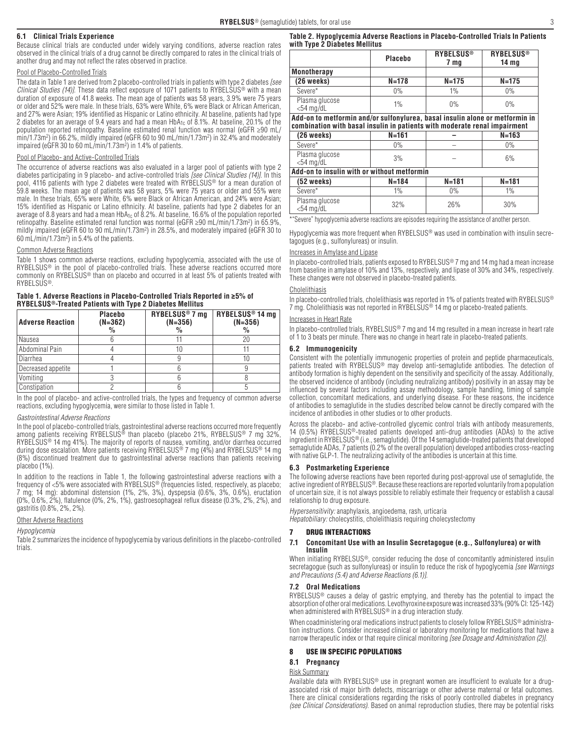## **6.1 Clinical Trials Experience**

Because clinical trials are conducted under widely varying conditions, adverse reaction rates observed in the clinical trials of a drug cannot be directly compared to rates in the clinical trials of another drug and may not reflect the rates observed in practice.

### Pool of Placebo-Controlled Trials

The data in Table 1 are derived from 2 placebo-controlled trials in patients with type 2 diabetes *[see Clinical Studies (14)]*. These data reflect exposure of 1071 patients to RYBELSUS® with a mean duration of exposure of 41.8 weeks. The mean age of patients was 58 years, 3.9% were 75 years or older and 52% were male. In these trials, 63% were White, 6% were Black or African American, and 27% were Asian; 19% identified as Hispanic or Latino ethnicity. At baseline, patients had type 2 diabetes for an average of 9.4 years and had a mean  $HbA_{1c}$  of 8.1%. At baseline, 20.1% of the population reported retinopathy. Baseline estimated renal function was normal (eGFR ≥90 mL/ min/1.73m2 ) in 66.2%, mildly impaired (eGFR 60 to 90 mL/min/1.73m2 ) in 32.4% and moderately impaired (eGFR 30 to 60 mL/min/1.73m2 ) in 1.4% of patients.

## Pool of Placebo- and Active-Controlled Trials

The occurrence of adverse reactions was also evaluated in a larger pool of patients with type 2 diabetes participating in 9 placebo- and active-controlled trials *[see Clinical Studies (14)]*. In this pool, 4116 patients with type 2 diabetes were treated with RYBELSUS® for a mean duration of 59.8 weeks. The mean age of patients was 58 years, 5% were 75 years or older and 55% were male. In these trials, 65% were White, 6% were Black or African American, and 24% were Asian; 15% identified as Hispanic or Latino ethnicity. At baseline, patients had type 2 diabetes for an average of 8.8 years and had a mean HbA $_{1c}$  of 8.2%. At baseline, 16.6% of the population reported retinopathy. Baseline estimated renal function was normal (eGFR ≥90 mL/min/1.73m2 ) in 65.9%, mildly impaired (eGFR 60 to 90 mL/min/1.73m2 ) in 28.5%, and moderately impaired (eGFR 30 to 60 mL/min/1.73m2 ) in 5.4% of the patients.

### Common Adverse Reactions

Table 1 shows common adverse reactions, excluding hypoglycemia, associated with the use of RYBELSUS<sup>®</sup> in the pool of placebo-controlled trials. These adverse reactions occurred more commonly on RYBELSUS® than on placebo and occurred in at least 5% of patients treated with **RYBELSUS®** 

### **Table 1. Adverse Reactions in Placebo-Controlled Trials Reported in ≥5% of RYBELSUS®-Treated Patients with Type 2 Diabetes Mellitus**

| <b>Adverse Reaction</b> | <b>Placebo</b><br>$(N=362)$<br>% | RYBELSUS <sup>®</sup> 7 mg<br>$(N=356)$<br>$\%$ | RYBELSUS <sup>®</sup> 14 mg<br>$(N=356)$<br>% |
|-------------------------|----------------------------------|-------------------------------------------------|-----------------------------------------------|
| Nausea                  |                                  |                                                 |                                               |
| Abdominal Pain          |                                  | 10                                              |                                               |
| Diarrhea                |                                  |                                                 |                                               |
| Decreased appetite      |                                  |                                                 |                                               |
| Vomiting                |                                  |                                                 |                                               |
| Constipation            |                                  |                                                 |                                               |

In the pool of placebo- and active-controlled trials, the types and frequency of common adverse reactions, excluding hypoglycemia, were similar to those listed in Table 1.

#### *Gastrointestinal Adverse Reactions*

In the pool of placebo-controlled trials, gastrointestinal adverse reactions occurred more frequently among patients receiving RYBELSUS<sup>®</sup> than placebo (placebo 21%, RYBELSUS<sup>®</sup> 7 mg 32%, RYBELSUS® 14 mg 41%). The majority of reports of nausea, vomiting, and/or diarrhea occurred during dose escalation. More patients receiving RYBELSUS<sup>®</sup> 7 mg (4%) and RYBELSUS<sup>®</sup> 14 mg (8%) discontinued treatment due to gastrointestinal adverse reactions than patients receiving placebo (1%).

In addition to the reactions in Table 1, the following gastrointestinal adverse reactions with a frequency of <5% were associated with RYBELSUS® (frequencies listed, respectively, as placebo; 7 mg; 14 mg): abdominal distension (1%, 2%, 3%), dyspepsia (0.6%, 3%, 0.6%), eructation (0%, 0.6%, 2%), flatulence (0%, 2%, 1%), gastroesophageal reflux disease (0.3%, 2%, 2%), and gastritis (0.8%, 2%, 2%).

### **Other Adverse Reactions**

#### *Hypoglycemia*

Table 2 summarizes the incidence of hypoglycemia by various definitions in the placebo-controlled trials.

### **Table 2. Hypoglycemia Adverse Reactions in Placebo-Controlled Trials In Patients with Type 2 Diabetes Mellitus**

|                                                                                                                                                           | Placebo   | <b>RYBELSUS<sup>®</sup></b><br>7 <sub>mq</sub> | <b>RYBELSUS<sup>®</sup></b><br>14 <sub>mg</sub> |  |
|-----------------------------------------------------------------------------------------------------------------------------------------------------------|-----------|------------------------------------------------|-------------------------------------------------|--|
| <b>Monotherapy</b>                                                                                                                                        |           |                                                |                                                 |  |
| $(26$ weeks)                                                                                                                                              | $N = 178$ | $N = 175$                                      | $N = 175$                                       |  |
| Severe*                                                                                                                                                   | $0\%$     | 1%                                             | $0\%$                                           |  |
| Plasma glucose<br>$<$ 54 mg/dL                                                                                                                            | 1%        | 0%                                             | 0%                                              |  |
| Add-on to metformin and/or sulfonylurea, basal insulin alone or metformin in<br>combination with basal insulin in patients with moderate renal impairment |           |                                                |                                                 |  |
| $(26$ weeks)                                                                                                                                              | $N = 161$ |                                                | $N = 163$                                       |  |
| Severe*                                                                                                                                                   | 0%        |                                                | 0%                                              |  |
| Plasma glucose<br>$<$ 54 mg/dL                                                                                                                            | 3%        |                                                | 6%                                              |  |
| Add-on to insulin with or without metformin                                                                                                               |           |                                                |                                                 |  |
| (52 weeks)                                                                                                                                                | $N = 184$ | $N = 181$                                      | $N = 181$                                       |  |

| 32% 26% 30% 30%<br>| 30% 26% 30% Severe" hypoglycemia adverse reactions are episodes requiring the assistance of another person.

Severe\* 1% 1% 0% 1%

Hypoglycemia was more frequent when RYBELSUS® was used in combination with insulin secretagogues (e.g., sulfonylureas) or insulin.

#### Increases in Amylase and Lipase

In placebo-controlled trials, patients exposed to RYBELSUS® 7 mg and 14 mg had a mean increase from baseline in amylase of 10% and 13%, respectively, and lipase of 30% and 34%, respectively. These changes were not observed in placebo-treated patients.

### Cholelithiasis

In placebo-controlled trials, cholelithiasis was reported in 1% of patients treated with RYBELSUS® 7 mg. Cholelithiasis was not reported in RYBELSUS® 14 mg or placebo-treated patients.

#### Increases in Heart Rate

Plasma glucose<br><54 mg/dL

In placebo-controlled trials, RYBELSUS® 7 mg and 14 mg resulted in a mean increase in heart rate of 1 to 3 beats per minute. There was no change in heart rate in placebo-treated patients.

### **6.2 Immunogenicity**

Consistent with the potentially immunogenic properties of protein and peptide pharmaceuticals, patients treated with RYBELSUS® may develop anti-semaglutide antibodies. The detection of antibody formation is highly dependent on the sensitivity and specificity of the assay. Additionally, the observed incidence of antibody (including neutralizing antibody) positivity in an assay may be influenced by several factors including assay methodology, sample handling, timing of sample collection, concomitant medications, and underlying disease. For these reasons, the incidence of antibodies to semaglutide in the studies described below cannot be directly compared with the incidence of antibodies in other studies or to other products.

Across the placebo- and active-controlled glycemic control trials with antibody measurements, 14 (0.5%) RYBELSUS®-treated patients developed anti-drug antibodies (ADAs) to the active ingredient in RYBELSUS® (i.e., semaglutide). Of the 14 semaglutide-treated patients that developed semaglutide ADAs, 7 patients (0.2% of the overall population) developed antibodies cross-reacting with native GLP-1. The neutralizing activity of the antibodies is uncertain at this time.

### **6.3 Postmarketing Experience**

The following adverse reactions have been reported during post-approval use of semaglutide, the active ingredient of RYBELSUS®. Because these reactions are reported voluntarily from a population of uncertain size, it is not always possible to reliably estimate their frequency or establish a causal relationship to drug exposure.

Hypersensitivity: anaphylaxis, angioedema, rash, urticaria Hepatobiliary: cholecystitis, cholelithiasis requiring cholecystectomy

### 7 DRUG INTERACTIONS

#### **7.1 Concomitant Use with an Insulin Secretagogue (e.g., Sulfonylurea) or with Insulin**

When initiating RYBELSUS®, consider reducing the dose of concomitantly administered insulin secretagogue (such as sulfonylureas) or insulin to reduce the risk of hypoglycemia [see Warnings and Precautions (5.4) and Adverse Reactions (6.1)].

### **7.2 Oral Medications**

RYBELSUS® causes a delay of gastric emptying, and thereby has the potential to impact the absorption of other oral medications. Levothyroxine exposure was increased 33% (90% CI: 125-142) when administered with RYBELSUS<sup>®</sup> in a drug interaction study.

When coadministering oral medications instruct patients to closely follow RYBELSUS® administration instructions. Consider increased clinical or laboratory monitoring for medications that have a narrow therapeutic index or that require clinical monitoring *[see Dosage and Administration (2)]*.

### 8 USE IN SPECIFIC POPULATIONS

## **8.1 Pregnancy**

### Risk Summary

Available data with RYBELSUS<sup>®</sup> use in pregnant women are insufficient to evaluate for a drugassociated risk of major birth defects, miscarriage or other adverse maternal or fetal outcomes. There are clinical considerations regarding the risks of poorly controlled diabetes in pregnancy *(see Clinical Considerations)*. Based on animal reproduction studies, there may be potential risks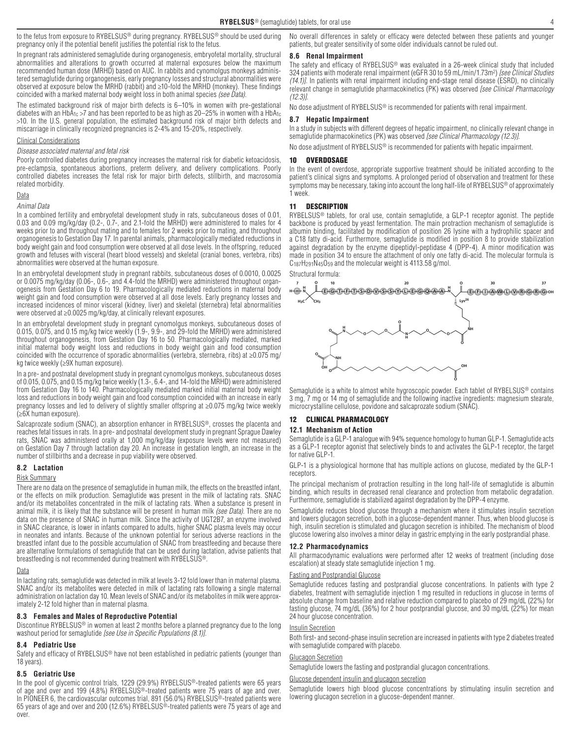to the fetus from exposure to RYBELSUS® during pregnancy. RYBELSUS® should be used during pregnancy only if the potential benefit justifies the potential risk to the fetus.

In pregnant rats administered semaglutide during organogenesis, embryofetal mortality, structural abnormalities and alterations to growth occurred at maternal exposures below the maximum recommended human dose (MRHD) based on AUC. In rabbits and cynomolgus monkeys administered semaglutide during organogenesis, early pregnancy losses and structural abnormalities were observed at exposure below the MRHD (rabbit) and ≥10-fold the MRHD (monkey). These findings coincided with a marked maternal body weight loss in both animal species *(see Data)*.

The estimated background risk of major birth defects is 6–10% in women with pre-gestational diabetes with an HbA<sub>1c</sub> >7 and has been reported to be as high as 20–25% in women with a HbA<sub>1c</sub> >10. In the U.S. general population, the estimated background risk of major birth defects and miscarriage in clinically recognized pregnancies is 2-4% and 15-20%, respectively.

### Clinical Considerations

#### *Disease associated maternal and fetal risk*

Poorly controlled diabetes during pregnancy increases the maternal risk for diabetic ketoacidosis, pre-eclampsia, spontaneous abortions, preterm delivery, and delivery complications. Poorly controlled diabetes increases the fetal risk for major birth defects, stillbirth, and macrosomia related morbidity.

## Data

### *Animal Data*

In a combined fertility and embryofetal development study in rats, subcutaneous doses of 0.01, 0.03 and 0.09 mg/kg/day (0.2-, 0.7-, and 2.1-fold the MRHD) were administered to males for 4 weeks prior to and throughout mating and to females for 2 weeks prior to mating, and throughout organogenesis to Gestation Day 17. In parental animals, pharmacologically mediated reductions in body weight gain and food consumption were observed at all dose levels. In the offspring, reduced growth and fetuses with visceral (heart blood vessels) and skeletal (cranial bones, vertebra, ribs) abnormalities were observed at the human exposure.

In an embryofetal development study in pregnant rabbits, subcutaneous doses of 0.0010, 0.0025 or 0.0075 mg/kg/day (0.06-, 0.6-, and 4.4-fold the MRHD) were administered throughout organogenesis from Gestation Day 6 to 19. Pharmacologically mediated reductions in maternal body weight gain and food consumption were observed at all dose levels. Early pregnancy losses and increased incidences of minor visceral (kidney, liver) and skeletal (sternebra) fetal abnormalities were observed at ≥0.0025 mg/kg/day, at clinically relevant exposures.

In an embryofetal development study in pregnant cynomolgus monkeys, subcutaneous doses of 0.015, 0.075, and 0.15 mg/kg twice weekly (1.9-, 9.9-, and 29-fold the MRHD) were administered throughout organogenesis, from Gestation Day 16 to 50. Pharmacologically mediated, marked initial maternal body weight loss and reductions in body weight gain and food consumption coincided with the occurrence of sporadic abnormalities (vertebra, sternebra, ribs) at ≥0.075 mg/ kg twice weekly (≥9X human exposure).

In a pre- and postnatal development study in pregnant cynomolgus monkeys, subcutaneous doses of 0.015, 0.075, and 0.15 mg/kg twice weekly (1.3-, 6.4-, and 14-fold the MRHD) were administered from Gestation Day 16 to 140. Pharmacologically mediated marked initial maternal body weight loss and reductions in body weight gain and food consumption coincided with an increase in early pregnancy losses and led to delivery of slightly smaller offspring at ≥0.075 mg/kg twice weekly (≥6X human exposure).

Salcaprozate sodium (SNAC), an absorption enhancer in RYBELSUS®, crosses the placenta and reaches fetal tissues in rats. In a pre- and postnatal development study in pregnant Sprague Dawley rats, SNAC was administered orally at 1,000 mg/kg/day (exposure levels were not measured) on Gestation Day 7 through lactation day 20. An increase in gestation length, an increase in the number of stillbirths and a decrease in pup viability were observed.

### **8.2 Lactation**

## Risk Summary

There are no data on the presence of semaglutide in human milk, the effects on the breastfed infant, or the effects on milk production. Semaglutide was present in the milk of lactating rats. SNAC and/or its metabolites concentrated in the milk of lactating rats. When a substance is present in animal milk, it is likely that the substance will be present in human milk *(see Data)*. There are no data on the presence of SNAC in human milk. Since the activity of UGT2B7, an enzyme involved in SNAC clearance, is lower in infants compared to adults, higher SNAC plasma levels may occur in neonates and infants. Because of the unknown potential for serious adverse reactions in the breastfed infant due to the possible accumulation of SNAC from breastfeeding and because there are alternative formulations of semaglutide that can be used during lactation, advise patients that breastfeeding is not recommended during treatment with RYBELSUS®.

### Data

In lactating rats, semaglutide was detected in milk at levels 3-12 fold lower than in maternal plasma. SNAC and/or its metabolites were detected in milk of lactating rats following a single maternal administration on lactation day 10. Mean levels of SNAC and/or its metabolites in milk were approximately 2-12 fold higher than in maternal plasma.

#### **8.3 Females and Males of Reproductive Potential**

Discontinue RYBELSUS® in women at least 2 months before a planned pregnancy due to the long washout period for semaglutide *[see Use in Specific Populations (8.1)]*.

#### **8.4 Pediatric Use**

Safety and efficacy of RYBELSUS<sup>®</sup> have not been established in pediatric patients (younger than 18 years).

#### **8.5 Geriatric Use**

In the pool of glycemic control trials, 1229 (29.9%) RYBELSUS<sup>®</sup>-treated patients were 65 years of age and over and 199 (4.8%) RYBELSUS®-treated patients were 75 years of age and over. In PIONEER 6, the cardiovascular outcomes trial, 891 (56.0%) RYBELSUS<sup>®</sup>-treated patients were 65 years of age and over and 200 (12.6%) RYBELSUS®-treated patients were 75 years of age and over.

No overall differences in safety or efficacy were detected between these patients and younger patients, but greater sensitivity of some older individuals cannot be ruled out.

### **8.6 Renal Impairment**

The safety and efficacy of RYBELSUS® was evaluated in a 26-week clinical study that included 324 patients with moderate renal impairment (eGFR 30 to 59 mL/min/1.73m2 ) *[see Clinical Studies (14.1)]*. In patients with renal impairment including end-stage renal disease (ESRD), no clinically relevant change in semaglutide pharmacokinetics (PK) was observed *[see Clinical Pharmacology (12.3)]*.

No dose adjustment of RYBELSUS® is recommended for patients with renal impairment.

#### **8.7 Hepatic Impairment**

In a study in subjects with different degrees of hepatic impairment, no clinically relevant change in semaglutide pharmacokinetics (PK) was observed *[see Clinical Pharmacology (12.3)]*.

No dose adjustment of RYBELSUS<sup>®</sup> is recommended for patients with hepatic impairment.

### 10 OVERDOSAGE

In the event of overdose, appropriate supportive treatment should be initiated according to the patient's clinical signs and symptoms. A prolonged period of observation and treatment for these symptoms may be necessary, taking into account the long half-life of RYBELSUS® of approximately 1 week.

### 11 DESCRIPTION

RYBELSUS<sup>®</sup> tablets, for oral use, contain semaglutide, a GLP-1 receptor agonist. The peptide backbone is produced by yeast fermentation. The main protraction mechanism of semaglutide is albumin binding, facilitated by modification of position 26 lysine with a hydrophilic spacer and a C18 fatty di-acid. Furthermore, semaglutide is modified in position 8 to provide stabilization against degradation by the enzyme dipeptidyl-peptidase 4 (DPP-4). A minor modification was made in position 34 to ensure the attachment of only one fatty di-acid. The molecular formula is C187H291N45O59 and the molecular weight is 4113.58 g/mol.

#### Structural formula:



Semaglutide is a white to almost white hygroscopic powder. Each tablet of RYBELSUS® contains 3 mg, 7 mg or 14 mg of semaglutide and the following inactive ingredients: magnesium stearate, microcrystalline cellulose, povidone and salcaprozate sodium (SNAC).

## 12 CLINICAL PHARMACOLOGY

## **12.1 Mechanism of Action**

Semaglutide is a GLP-1 analogue with 94% sequence homology to human GLP-1. Semaglutide acts as a GLP-1 receptor agonist that selectively binds to and activates the GLP-1 receptor, the target for native GLP-1.

GLP-1 is a physiological hormone that has multiple actions on glucose, mediated by the GLP-1 receptors.

The principal mechanism of protraction resulting in the long half-life of semaglutide is albumin binding, which results in decreased renal clearance and protection from metabolic degradation. Furthermore, semaglutide is stabilized against degradation by the DPP-4 enzyme.

Semaglutide reduces blood glucose through a mechanism where it stimulates insulin secretion and lowers glucagon secretion, both in a glucose-dependent manner. Thus, when blood glucose is high, insulin secretion is stimulated and glucagon secretion is inhibited. The mechanism of blood glucose lowering also involves a minor delay in gastric emptying in the early postprandial phase.

### **12.2 Pharmacodynamics**

All pharmacodynamic evaluations were performed after 12 weeks of treatment (including dose escalation) at steady state semaglutide injection 1 mg.

### Fasting and Postprandial Glucose

Semaglutide reduces fasting and postprandial glucose concentrations. In patients with type 2 diabetes, treatment with semaglutide injection 1 mg resulted in reductions in glucose in terms of absolute change from baseline and relative reduction compared to placebo of 29 mg/dL (22%) for fasting glucose, 74 mg/dL (36%) for 2 hour postprandial glucose, and 30 mg/dL (22%) for mean 24 hour glucose concentration.

### Insulin Secretion

Both first- and second-phase insulin secretion are increased in patients with type 2 diabetes treated with semaglutide compared with placebo.

### Glucagon Secretion

Semaglutide lowers the fasting and postprandial glucagon concentrations.

#### Glucose dependent insulin and glucagon secretion

Semaglutide lowers high blood glucose concentrations by stimulating insulin secretion and lowering glucagon secretion in a glucose-dependent manner.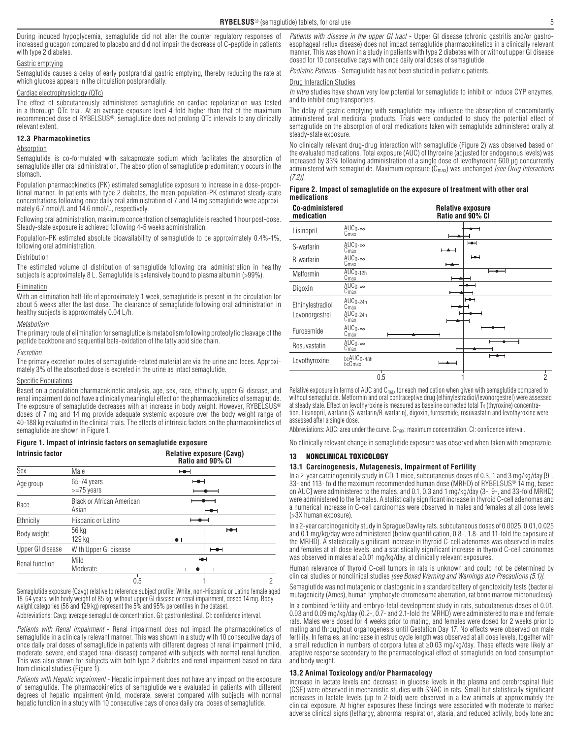During induced hypoglycemia, semaglutide did not alter the counter regulatory responses of increased glucagon compared to placebo and did not impair the decrease of C-peptide in patients with type 2 diabetes.

#### Gastric emptying

Semaglutide causes a delay of early postprandial gastric emptying, thereby reducing the rate at which glucose appears in the circulation postprandially.

#### Cardiac electrophysiology (QTc)

The effect of subcutaneously administered semaglutide on cardiac repolarization was tested in a thorough QTc trial. At an average exposure level 4-fold higher than that of the maximum recommended dose of RYBELSUS®, semaglutide does not prolong QTc intervals to any clinically relevant extent.

### **12.3 Pharmacokinetics**

### **Absorption**

Semaglutide is co-formulated with salcaprozate sodium which facilitates the absorption of semaglutide after oral administration. The absorption of semaglutide predominantly occurs in the stomach.

Population pharmacokinetics (PK) estimated semaglutide exposure to increase in a dose-proportional manner. In patients with type 2 diabetes, the mean population-PK estimated steady-state concentrations following once daily oral administration of 7 and 14 mg semaglutide were approximately 6.7 nmol/L and 14.6 nmol/L, respectively.

Following oral administration, maximum concentration of semaglutide is reached 1 hour post-dose. Steady-state exposure is achieved following 4-5 weeks administration.

Population-PK estimated absolute bioavailability of semaglutide to be approximately 0.4%-1%, following oral administration.

### **Distribution**

The estimated volume of distribution of semaglutide following oral administration in healthy subjects is approximately 8 L. Semaglutide is extensively bound to plasma albumin (>99%).

### Elimination

With an elimination half-life of approximately 1 week, semaglutide is present in the circulation for about 5 weeks after the last dose. The clearance of semaglutide following oral administration in healthy subjects is approximately 0.04 L/h.

#### *Metabolism*

The primary route of elimination for semaglutide is metabolism following proteolytic cleavage of the peptide backbone and sequential beta-oxidation of the fatty acid side chain.

#### *Excretion*

The primary excretion routes of semaglutide-related material are via the urine and feces. Approximately 3% of the absorbed dose is excreted in the urine as intact semaglutide.

#### Specific Populations

Based on a population pharmacokinetic analysis, age, sex, race, ethnicity, upper GI disease, and renal impairment do not have a clinically meaningful effect on the pharmacokinetics of semaglutide. The exposure of semaglutide decreases with an increase in body weight. However, RYBELSUS® doses of 7 mg and 14 mg provide adequate systemic exposure over the body weight range of 40-188 kg evaluated in the clinical trials. The effects of intrinsic factors on the pharmacokinetics of semaglutide are shown in Figure 1.

**Figure 1. Impact of intrinsic factors on semaglutide exposure**

| <b>Intrinsic factor</b> |                                           | Relative exposure (Cavg)<br>Ratio and 90% CI |   |  |
|-------------------------|-------------------------------------------|----------------------------------------------|---|--|
| Sex                     | Male                                      | ⊢●⊣                                          |   |  |
| Age group               | 65-74 years<br>$>=75$ years               |                                              |   |  |
| Race                    | <b>Black or African American</b><br>Asian |                                              |   |  |
| Ethnicity               | Hispanic or Latino                        |                                              |   |  |
| Body weight             | 56 kg<br>129 kg                           | ⊷                                            | ⊷ |  |
| Upper GI disease        | With Upper GI disease                     | ⊢⊷                                           |   |  |
| Renal function          | Mild<br>Moderate                          |                                              |   |  |
|                         | 0.5                                       |                                              | 2 |  |

Semaglutide exposure (Cavg) relative to reference subject profile: White, non-Hispanic or Latino female aged 18-64 years, with body weight of 85 kg, without upper GI disease or renal impairment, dosed 14 mg. Body weight categories (56 and 129 kg) represent the 5% and 95% percentiles in the dataset.

Abbreviations: Cavg: average semaglutide concentration. GI: gastrointestinal. CI: confidence interval.

*Patients with Renal impairment* - Renal impairment does not impact the pharmacokinetics of semaglutide in a clinically relevant manner. This was shown in a study with 10 consecutive days of once daily oral doses of semaglutide in patients with different degrees of renal impairment (mild, moderate, severe, end staged renal disease) compared with subjects with normal renal function. This was also shown for subjects with both type 2 diabetes and renal impairment based on data from clinical studies (Figure 1).

*Patients with Hepatic impairment* - Hepatic impairment does not have any impact on the exposure of semaglutide. The pharmacokinetics of semaglutide were evaluated in patients with different degrees of hepatic impairment (mild, moderate, severe) compared with subjects with normal hepatic function in a study with 10 consecutive days of once daily oral doses of semaglutide.

*Patients with disease in the upper GI tract* - Upper GI disease (chronic gastritis and/or gastroesophageal reflux disease) does not impact semaglutide pharmacokinetics in a clinically relevant manner. This was shown in a study in patients with type 2 diabetes with or without upper GI disease dosed for 10 consecutive days with once daily oral doses of semaglutide.

*Pediatric Patients* - Semaglutide has not been studied in pediatric patients.

#### **Drug Interaction Studies**

In vitro studies have shown very low potential for semaglutide to inhibit or induce CYP enzymes, and to inhibit drug transporters.

The delay of gastric emptying with semaglutide may influence the absorption of concomitantly administered oral medicinal products. Trials were conducted to study the potential effect of semaglutide on the absorption of oral medications taken with semaglutide administered orally at steady-state exposure.

No clinically relevant drug-drug interaction with semaglutide (Figure 2) was observed based on the evaluated medications. Total exposure (AUC) of thyroxine (adjusted for endogenous levels) was increased by 33% following administration of a single dose of levothyroxine 600 µg concurrently administered with semaglutide. Maximum exposure (Cmax) was unchanged *[see Drug Interactions (7.2)]*.

|             | Figure 2. Impact of semaglutide on the exposure of treatment with other oral |  |  |  |
|-------------|------------------------------------------------------------------------------|--|--|--|
| medications |                                                                              |  |  |  |

| Co-administered<br>medication      |                                                      |     | <b>Relative exposure</b><br>Ratio and 90% CI |                |
|------------------------------------|------------------------------------------------------|-----|----------------------------------------------|----------------|
| Lisinopril                         | $AUC0 - \infty$<br>Cmax                              |     |                                              |                |
| S-warfarin                         | $AUC_0-\infty$<br>$C_{\text{max}}$                   |     | ⊢                                            |                |
| R-warfarin                         | $AUC0 - \infty$<br>$C_{\text{max}}$                  |     | ⊷                                            |                |
| Metformin                          | $\overline{AUC}_{0-12h}$<br>C <sub>max</sub>         |     |                                              |                |
| Digoxin                            | $AUC_0-\infty$<br>Cmax                               |     |                                              |                |
| Ethinylestradiol<br>Levonorgestrel | $AUC0-24h$<br>$C_{\text{max}}$<br>$AUC0-24h$<br>Cmax |     | ╼                                            |                |
| <b>Furosemide</b>                  | $AUC_0-\infty$<br>Cmax                               |     |                                              |                |
| Rosuvastatin                       | $AUC_0-\infty$<br>Cmax                               |     |                                              |                |
| Levothyroxine                      | bcAUC0-48h<br><b>bcCmax</b>                          |     |                                              |                |
|                                    |                                                      | 0.5 |                                              | $\overline{2}$ |

Relative exposure in terms of AUC and C<sub>max</sub> for each medication when given with semaglutide compared to without semaglutide. Metformin and oral contraceptive drug (ethinylestradiol/levonorgestrel) were assessed at steady state. Effect on levothyroxine is measured as baseline corrected total T4 (thyroxine) concentration. Lisinopril, warfarin (S-warfarin/R-warfarin), digoxin, furosemide, rosuvastatin and levothyroxine were assessed after a single dose.

Abbreviations: AUC: area under the curve. C<sub>max</sub>: maximum concentration. CI: confidence interval.

No clinically relevant change in semaglutide exposure was observed when taken with omeprazole.

#### 13 NONCLINICAL TOXICOLOGY

## **13.1 Carcinogenesis, Mutagenesis, Impairment of Fertility**

In a 2-year carcinogenicity study in CD-1 mice, subcutaneous doses of 0.3, 1 and 3 mg/kg/day [9-, 33- and 113- fold the maximum recommended human dose (MRHD) of RYBELSUS® 14 mg, based on AUC] were administered to the males, and 0.1, 0.3 and 1 mg/kg/day (3-, 9-, and 33-fold MRHD) were administered to the females. A statistically significant increase in thyroid C-cell adenomas and a numerical increase in C-cell carcinomas were observed in males and females at all dose levels (>3X human exposure).

In a 2-year carcinogenicity study in Sprague Dawley rats, subcutaneous doses of 0.0025, 0.01, 0.025 and 0.1 mg/kg/day were administered (below quantification, 0.8-, 1.8- and 11-fold the exposure at the MRHD). A statistically significant increase in thyroid C-cell adenomas was observed in males and females at all dose levels, and a statistically significant increase in thyroid C-cell carcinomas was observed in males at ≥0.01 mg/kg/day, at clinically relevant exposures.

Human relevance of thyroid C-cell tumors in rats is unknown and could not be determined by clinical studies or nonclinical studies *[see Boxed Warning and Warnings and Precautions (5.1)]*.

Semaglutide was not mutagenic or clastogenic in a standard battery of genotoxicity tests (bacterial mutagenicity (Ames), human lymphocyte chromosome aberration, rat bone marrow micronucleus).

In a combined fertility and embryo-fetal development study in rats, subcutaneous doses of 0.01, 0.03 and 0.09 mg/kg/day (0.2-, 0.7- and 2.1-fold the MRHD) were administered to male and female rats. Males were dosed for 4 weeks prior to mating, and females were dosed for 2 weeks prior to mating and throughout organogenesis until Gestation Day 17. No effects were observed on male fertility. In females, an increase in estrus cycle length was observed at all dose levels, together with a small reduction in numbers of corpora lutea at ≥0.03 mg/kg/day. These effects were likely an adaptive response secondary to the pharmacological effect of semaglutide on food consumption and body weight.

## **13.2 Animal Toxicology and/or Pharmacology**

Increase in lactate levels and decrease in glucose levels in the plasma and cerebrospinal fluid (CSF) were observed in mechanistic studies with SNAC in rats. Small but statistically significant increases in lactate levels (up to 2-fold) were observed in a few animals at approximately the clinical exposure. At higher exposures these findings were associated with moderate to marked adverse clinical signs (lethargy, abnormal respiration, ataxia, and reduced activity, body tone and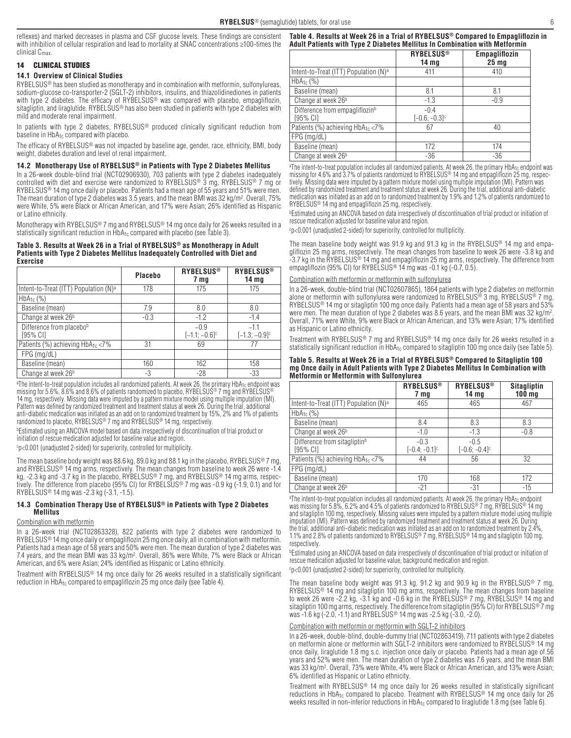reflexes) and marked decreases in plasma and CSF glucose levels. These findings are consistent with inhibition of cellular respiration and lead to mortality at SNAC concentrations ≥100-times the clinical Cmax.

## 14 CLINICAL STUDIES

### **14.1 Overview of Clinical Studies**

RYBELSUS® has been studied as monotherapy and in combination with metformin, sulfonylureas, sodium-glucose co-transporter-2 (SGLT-2) inhibitors, insulins, and thiazolidinediones in patients with type 2 diabetes. The efficacy of RYBELSUS<sup>®</sup> was compared with placebo, empagliflozin, sitagliptin, and liraglutide. RYBELSUS® has also been studied in patients with type 2 diabetes with mild and moderate renal impairment.

In patients with type 2 diabetes, RYBELSUS® produced clinically significant reduction from baseline in  $HbA_{1c}$  compared with placebo.

The efficacy of RYBELSUS® was not impacted by baseline age, gender, race, ethnicity, BMI, body weight, diabetes duration and level of renal impairment.

### **14.2 Monotherapy Use of RYBELSUS® in Patients with Type 2 Diabetes Mellitus**

In a 26-week double-blind trial (NCT02906930), 703 patients with type 2 diabetes inadequately controlled with diet and exercise were randomized to RYBELSUS® 3 mg, RYBELSUS® 7 mg or RYBELSUS® 14 mg once daily or placebo. Patients had a mean age of 55 years and 51% were men. The mean duration of type 2 diabetes was 3.5 years, and the mean BMI was 32 kg/m2. Overall, 75% were White, 5% were Black or African American, and 17% were Asian; 26% identified as Hispanic or Latino ethnicity.

Monotherapy with RYBELSUS® 7 mg and RYBELSUS® 14 mg once daily for 26 weeks resulted in a statistically significant reduction in  $HbA_{1c}$  compared with placebo (see Table 3).

### **Table 3. Results at Week 26 in a Trial of RYBELSUS® as Monotherapy in Adult Patients with Type 2 Diabetes Mellitus Inadequately Controlled with Diet and Exercise**

|                                                   | <b>Placebo</b> | <b>RYBELSUS®</b><br>7 mg              | <b>RYBELSUS®</b><br>14 mg             |
|---------------------------------------------------|----------------|---------------------------------------|---------------------------------------|
| Intent-to-Treat (ITT) Population (N) <sup>a</sup> | 178            | 175                                   | 175                                   |
| $HbA1c$ (%)                                       |                |                                       |                                       |
| Baseline (mean)                                   | 7.9            | 8.0                                   | 8.0                                   |
| Change at week 26 <sup>b</sup>                    | $-0.3$         | $-1.2$                                | $-1.4$                                |
| Difference from placebob<br>[95% CI]              |                | $-0.9$<br>$[-1.1; -0.6]$ <sup>c</sup> | $-1.1$<br>$[-1.3; -0.9]$ <sup>c</sup> |
| Patients (%) achieving $HbA_{1c} < 7\%$           | 31             | 69                                    | 77                                    |
| $FPG$ (mg/dL)                                     |                |                                       |                                       |
| Baseline (mean)                                   | 160            | 162                                   | 158                                   |
| Change at week 26 <sup>b</sup>                    | -3             | $-28$                                 | $-33$                                 |

ªThe intent-to-treat population includes all randomized patients. At week 26, the primary HbA<sub>1c</sub> endpoint was<br>missing for 5.6%, 8.6% and 8.6% of patients randomized to placebo, RYBELSUS® 7 mg and RYBELSUS® 14 mg, respectively. Missing data were imputed by a pattern mixture model using multiple imputation (MI). Pattern was defined by randomized treatment and treatment status at week 26. During the trial, additional anti-diabetic medication was initiated as an add on to randomized treatment by 15%, 2% and 1% of patients randomized to placebo, RYBELSUS® 7 mg and RYBELSUS® 14 mg, respectively.

bEstimated using an ANCOVA model based on data irrespectively of discontinuation of trial product or initiation of rescue medication adjusted for baseline value and region.

c p<0.001 (unadjusted 2-sided) for superiority, controlled for multiplicity.

The mean baseline body weight was 88.6 kg, 89.0 kg and 88.1 kg in the placebo, RYBELSUS® 7 mg and RYBELSUS® 14 mg arms, respectively. The mean changes from baseline to week 26 were -1.4 kg, -2.3 kg and -3.7 kg in the placebo, RYBELSUS® 7 mg, and RYBELSUS® 14 mg arms, respectively. The difference from placebo (95% CI) for RYBELSUS® 7 mg was -0.9 kg (-1.9, 0.1) and for RYBELSUS® 14 mg was -2.3 kg (-3.1, -1.5).

### **14.3 Combination Therapy Use of RYBELSUS® in Patients with Type 2 Diabetes Mellitus**

### Combination with metformin

In a 26-week trial (NCT02863328), 822 patients with type 2 diabetes were randomized to RYBELSUS® 14 mg once daily or empagliflozin 25 mg once daily, all in combination with metformin. Patients had a mean age of 58 years and 50% were men. The mean duration of type 2 diabetes was 7.4 years, and the mean BMI was 33 kg/m<sup>2</sup>. Overall, 86% were White, 7% were Black or African American, and 6% were Asian; 24% identified as Hispanic or Latino ethnicity.

Treatment with RYBELSUS® 14 mg once daily for 26 weeks resulted in a statistically significant reduction in HbA<sub>1c</sub> compared to empagliflozin 25 mg once daily (see Table 4).

### **Table 4. Results at Week 26 in a Trial of RYBELSUS® Compared to Empagliflozin in Adult Patients with Type 2 Diabetes Mellitus In Combination with Metformin**

|                                                        | <b>RYBELSUS®</b><br>14 mg             | Empagliflozin<br>25 <sub>mg</sub> |
|--------------------------------------------------------|---------------------------------------|-----------------------------------|
| Intent-to-Treat (ITT) Population (N) <sup>a</sup>      | 411                                   | 410                               |
| $HbA_{1c}$ (%)                                         |                                       |                                   |
| Baseline (mean)                                        | 8.1                                   | 8.1                               |
| Change at week 26 <sup>b</sup>                         | $-1.3$                                | $-0.9$                            |
| Difference from empagliflozin <sup>b</sup><br>[95% CI] | $-0.4$<br>$[-0.6, -0.3]$ <sup>c</sup> |                                   |
| Patients (%) achieving HbA <sub>1c</sub> <7%           | 67                                    | 40                                |
| $FPG$ (mg/dL)                                          |                                       |                                   |
| Baseline (mean)                                        | 172                                   | 174                               |
| Change at week 26 <sup>b</sup>                         | $-36$                                 | -36                               |

<sup>a</sup>The intent-to-treat population includes all randomized patients. At week 26, the primary HbA<sub>1c</sub> endpoint was missing for 4.6% and 3.7% of patients randomized to RYBELSUS® 14 mg and empagliflozin 25 mg, respectively. Missing data were imputed by a pattern mixture model using multiple imputation (MI). Pattern was defined by randomized treatment and treatment status at week 26. During the trial, additional anti-diabetic medication was initiated as an add on to randomized treatment by 1.9% and 1.2% of patients randomized to RYBELSUS® 14 mg and empagliflozin 25 mg, respectively.

bEstimated using an ANCOVA based on data irrespectively of discontinuation of trial product or initiation of rescue medication adjusted for baseline value and region.

c p<0.001 (unadjusted 2-sided) for superiority, controlled for multiplicity.

The mean baseline body weight was 91.9 kg and 91.3 kg in the RYBELSUS® 14 mg and empagliflozin 25 mg arms, respectively. The mean changes from baseline to week 26 were -3.8 kg and -3.7 kg in the RYBELSUS® 14 mg and empagliflozin 25 mg arms, respectively. The difference from empagliflozin (95% CI) for RYBELSUS<sup>®</sup> 14 mg was -0.1 kg (-0.7, 0.5).

### Combination with metformin or metformin with sulfonyl

In a 26-week, double-blind trial (NCT02607865), 1864 patients with type 2 diabetes on metformin alone or metformin with sulfonylurea were randomized to RYBELSUS<sup>®</sup> 3 mg, RYBELSUS<sup>®</sup> 7 mg, RYBELSUS<sup>®</sup> 14 mg or sitagliptin 100 mg once daily. Patients had a mean age of 58 years and 53% were men. The mean duration of type 2 diabetes was 8.6 years, and the mean BMI was 32 kg/m2. Overall, 71% were White, 9% were Black or African American, and 13% were Asian; 17% identified as Hispanic or Latino ethnicity.

Treatment with RYBELSUS® 7 mg and RYBELSUS® 14 mg once daily for 26 weeks resulted in a statistically significant reduction in HbA<sub>1c</sub> compared to sitagliptin 100 mg once daily (see Table 5).

### **Table 5. Results at Week 26 in a Trial of RYBELSUS® Compared to Sitagliptin 100 mg Once daily in Adult Patients with Type 2 Diabetes Mellitus In Combination with Metformin or Metformin with Sulfonylurea**

|                                                      | <b>RYBELSUS®</b><br>7 mg   | <b>RYBELSUS®</b><br>14 <sub>mg</sub> | <b>Sitagliptin</b><br>100 <sub>mg</sub> |
|------------------------------------------------------|----------------------------|--------------------------------------|-----------------------------------------|
| Intent-to-Treat (ITT) Population (N) <sup>a</sup>    | 465                        | 465                                  | 467                                     |
| $HbA1c$ (%)                                          |                            |                                      |                                         |
| Baseline (mean)                                      | 8.4                        | 8.3                                  | 8.3                                     |
| Change at week 26 <sup>b</sup>                       | $-1.0$                     | $-1.3$                               | $-0.8$                                  |
| Difference from sitagliptin <sup>b</sup><br>[95% CI] | $-0.3$<br>$[-0.4; -0.1]$ c | $-0.5$<br>$[-0.6; -0.4]$ c           |                                         |
| Patients (%) achieving HbA <sub>1c</sub> <7%         | 44                         | 56                                   | 32                                      |
| $FPG$ (mg/dL)                                        |                            |                                      |                                         |
| Baseline (mean)                                      | 170                        | 168                                  | 172                                     |
| Change at week 26 <sup>b</sup>                       | $-21$                      | $-31$                                | $-15$                                   |

<sup>a</sup>The intent-to-treat population includes all randomized patients. At week 26, the primary HbA<sub>1c</sub> endpoint was missing for 5.8%, 6.2% and 4.5% of patients randomized to RYBELSUS® 7 mg, RYBELSUS® 14 mg and sitagliptin 100 mg, respectively. Missing values were imputed by a pattern mixture model using multiple imputation (MI). Pattern was defined by randomized treatment and treatment status at week 26. During the trial, additional anti-diabetic medication was initiated as an add on to randomized treatment by 2.4%, 1.1% and 2.8% of patients randomized to RYBELSUS® 7 mg, RYBELSUS® 14 mg and sitagliptin 100 mg, respectively.

bEstimated using an ANCOVA based on data irrespectively of discontinuation of trial product or initiation of rescue medication adjusted for baseline value, background medication and region.

c p<0.001 (unadjusted 2-sided) for superiority, controlled for multiplicity.

The mean baseline body weight was 91.3 kg, 91.2 kg and 90.9 kg in the RYBELSUS® 7 mg, RYBELSUS® 14 mg and sitagliptin 100 mg arms, respectively. The mean changes from baseline to week 26 were -2.2 kg, -3.1 kg and -0.6 kg in the RYBELSUS® 7 mg, RYBELSUS® 14 mg and sitagliptin 100 mg arms, respectively. The difference from sitagliptin (95% CI) for RYBELSUS<sup>®</sup>7 mg was -1.6 kg (-2.0, -1.1) and RYBELSUS® 14 mg was -2.5 kg (-3.0, -2.0).

### Combination with metformin or metformin with SGLT-2 inhibitors

In a 26-week, double-blind, double-dummy trial (NCT02863419), 711 patients with type 2 diabetes on metformin alone or metformin with SGLT-2 inhibitors were randomized to RYBELSUS® 14 mg once daily, liraglutide 1.8 mg s.c. injection once daily or placebo. Patients had a mean age of 56 years and 52% were men. The mean duration of type 2 diabetes was 7.6 years, and the mean BMI was 33 kg/m2. Overall, 73% were White, 4% were Black or African American, and 13% were Asian; 6% identified as Hispanic or Latino ethnicity.

Treatment with RYBELSUS® 14 mg once daily for 26 weeks resulted in statistically significant reductions in HbA<sub>1c</sub> compared to placebo. Treatment with RYBELSUS<sup>®</sup> 14 mg once daily for 26 weeks resulted in non-inferior reductions in HbA<sub>1c</sub> compared to liraglutide 1.8 mg (see Table 6).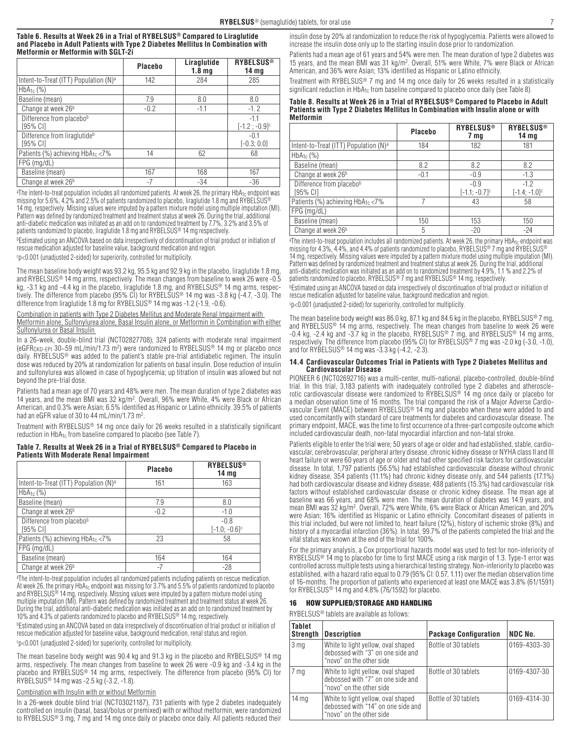### **Table 6. Results at Week 26 in a Trial of RYBELSUS® Compared to Liraglutide and Placebo in Adult Patients with Type 2 Diabetes Mellitus In Combination with Metformin or Metformin with SGLT-2i**

|                                                      | Placebo | Liraglutide<br>1.8 <sub>mq</sub> | <b>RYBELSUS<sup>®</sup></b><br>14 <sub>mg</sub> |
|------------------------------------------------------|---------|----------------------------------|-------------------------------------------------|
| Intent-to-Treat (ITT) Population (N) <sup>a</sup>    | 142     | 284                              | 285                                             |
| $HbA_{1c}$ (%)                                       |         |                                  |                                                 |
| Baseline (mean)                                      | 7.9     | 8.0                              | 8.0                                             |
| Change at week 26 <sup>b</sup>                       | $-0.2$  | $-1.1$                           | $-1.2$                                          |
| Difference from placebob<br>[95% CI]                 |         |                                  | $-1.1$<br>$[-1.2:-0.9]$ <sup>c</sup>            |
| Difference from liraglutide <sup>b</sup><br>[95% CI] |         |                                  | $-0.1$<br>$[-0.3; 0.0]$                         |
| Patients (%) achieving HbA <sub>1c</sub> <7%         | 14      | 62                               | 68                                              |
| $FPG$ (mg/dL)                                        |         |                                  |                                                 |
| Baseline (mean)                                      | 167     | 168                              | 167                                             |
| Change at week 26 <sup>b</sup>                       | $-7$    | $-34$                            | $-36$                                           |

<sup>a</sup>The intent-to-treat population includes all randomized patients. At week 26, the primary HbA<sub>1c</sub> endpoint was missing for 5.6%, 4.2% and 2.5% of patients randomized to placebo, liraglutide 1.8 mg and RYBELSUS® 14 mg, respectively. Missing values were imputed by a pattern mixture model using multiple imputation (MI). Pattern was defined by randomized treatment and treatment status at week 26. During the trial, additional anti-diabetic medication was initiated as an add on to randomized treatment by 7.7%, 3.2% and 3.5% of patients randomized to placebo, liraglutide 1.8 mg and RYBELSUS<sup>®</sup> 14 mg respectively

**bEstimated using an ANCOVA based on data irrespectively of discontinuation of trial product or initiation of** rescue medication adjusted for baseline value, background medication and region.

c p<0.001 (unadjusted 2-sided) for superiority, controlled for multiplicity.

The mean baseline body weight was 93.2 kg, 95.5 kg and 92.9 kg in the placebo, liraglutide 1.8 mg, and RYBELSUS® 14 mg arms, respectively. The mean changes from baseline to week 26 were -0.5 kg, -3.1 kg and -4.4 kg in the placebo, liraglutide 1.8 mg, and RYBELSUS® 14 mg arms, respectively. The difference from placebo (95% CI) for RYBELSUS® 14 mg was -3.8 kg (-4.7, -3.0). The difference from liraglutide 1.8 mg for RYBELSUS® 14 mg was -1.2 (-1.9, -0.6).

Combination in patients with Type 2 Diabetes Mellitus and Moderate Renal Impairment with

Metformin alone, Sulfonylurea alone, Basal Insulin alone, or Metformin in Combination with either Sulfonylurea or Basal Insulin

In a 26-week, double-blind trial (NCT02827708), 324 patients with moderate renal impairment (eGFR<sub>CKD-EPI</sub> 30–59 mL/min/1.73 m²) were randomized to RYBELSUS® 14 mg or placebo once daily. RYBELSUS® was added to the patient's stable pre-trial antidiabetic regimen. The insulin dose was reduced by 20% at randomization for patients on basal insulin. Dose reduction of insulin and sulfonylurea was allowed in case of hypoglycemia; up titration of insulin was allowed but not beyond the pre-trial dose.

Patients had a mean age of 70 years and 48% were men. The mean duration of type 2 diabetes was 14 years, and the mean BMI was 32 kg/m2. Overall, 96% were White, 4% were Black or African American, and 0.3% were Asian; 6.5% identified as Hispanic or Latino ethnicity. 39.5% of patients had an eGFR value of 30 to 44 mL/min/1.73 m<sup>2</sup>.

Treatment with RYBELSUS® 14 mg once daily for 26 weeks resulted in a statistically significant reduction in HbA<sub>1c</sub> from baseline compared to placebo (see Table 7).

### **Table 7. Results at Week 26 in a Trial of RYBELSUS® Compared to Placebo in Patients With Moderate Renal Impairment**

|                                                   | <b>Placebo</b> | <b>RYBELSUS<sup>®</sup></b><br>14 <sub>mg</sub> |
|---------------------------------------------------|----------------|-------------------------------------------------|
| Intent-to-Treat (ITT) Population (N) <sup>a</sup> | 161            | 163                                             |
| $HbA_{1c}$ (%)                                    |                |                                                 |
| Baseline (mean)                                   | 7.9            | 8.0                                             |
| Change at week 26 <sup>b</sup>                    | $-0.2$         | $-1.0$                                          |
| Difference from placebob<br>[95% CI]              |                | $-0.8$<br>$[-1.0; -0.6]$ <sup>c</sup>           |
| Patients (%) achieving HbA <sub>1c</sub> <7%      | 23             | 58                                              |
| $FPG$ (mg/dL)                                     |                |                                                 |
| Baseline (mean)                                   | 164            | 164                                             |
| Change at week 26 <sup>b</sup>                    | $-7$           | $-28$                                           |

a The intent-to-treat population includes all randomized patients including patients on rescue medication. At week 26, the primary HbA<sub>1c</sub> endpoint was missing for 3.7% and 5.5% of patients randomized to placebo<br>and RYBELSUS® 14 mg, respectively. Missing values were imputed by a pattern mixture model using multiple imputation (MI). Pattern was defined by randomized treatment and treatment status at week 26. During the trial, additional anti-diabetic medication was initiated as an add on to randomized treatment by 10% and 4.3% of patients randomized to placebo and RYBELSUS® 14 mg, respectively.<br><sup>b</sup>Estimated using an ANCOVA based on data irrespectively of discontinuation of trial product or initiation of

rescue medication adjusted for baseline value, background medication, renal status and region.

c p<0.001 (unadjusted 2-sided) for superiority, controlled for multiplicity.

The mean baseline body weight was 90.4 kg and 91.3 kg in the placebo and RYBELSUS® 14 mg arms, respectively. The mean changes from baseline to week 26 were -0.9 kg and -3.4 kg in the placebo and RYBELSUS® 14 mg arms, respectively. The difference from placebo (95% CI) for RYBELSUS® 14 mg was -2.5 kg (-3.2, -1.8).

## Combination with Insulin with or without Metformin

In a 26-week double blind trial (NCT03021187), 731 patients with type 2 diabetes inadequately controlled on insulin (basal, basal/bolus or premixed) with or without metformin, were randomized to RYBELSUS® 3 mg, 7 mg and 14 mg once daily or placebo once daily. All patients reduced their

insulin dose by 20% at randomization to reduce the risk of hypoglycemia. Patients were allowed to increase the insulin dose only up to the starting insulin dose prior to randomization.

Patients had a mean age of 61 years and 54% were men. The mean duration of type 2 diabetes was 15 years, and the mean BMI was 31 kg/m2. Overall, 51% were White, 7% were Black or African American, and 36% were Asian; 13% identified as Hispanic or Latino ethnicity.

Treatment with RYBELSUS® 7 mg and 14 mg once daily for 26 weeks resulted in a statistically significant reduction in HbA<sub>1c</sub> from baseline compared to placebo once daily (see Table 8).

**Table 8. Results at Week 26 in a Trial of RYBELSUS® Compared to Placebo in Adult Patients with Type 2 Diabetes Mellitus In Combination with Insulin alone or with Metformin**

|                                                   | <b>Placebo</b> | <b>RYBELSUS<sup>®</sup></b><br>7 mg   | <b>RYBELSUS®</b><br>14 mg             |
|---------------------------------------------------|----------------|---------------------------------------|---------------------------------------|
| Intent-to-Treat (ITT) Population (N) <sup>a</sup> | 184            | 182                                   | 181                                   |
| $HbA1c$ (%)                                       |                |                                       |                                       |
| Baseline (mean)                                   | 8.2            | 8.2                                   | 8.2                                   |
| Change at week 26 <sup>b</sup>                    | $-0.1$         | $-0.9$                                | $-1.3$                                |
| Difference from placebo <sup>b</sup><br>[95% CI]  |                | $-0.9$<br>$[-1.1; -0.7]$ <sup>c</sup> | $-1.2$<br>$[-1.4; -1.0]$ <sup>c</sup> |
| Patients (%) achieving HbA <sub>1c</sub> <7%      |                | 43                                    | 58                                    |
| $FPG$ (mg/dL)                                     |                |                                       |                                       |
| Baseline (mean)                                   | 150            | 153                                   | 150                                   |
| Change at week 26 <sup>b</sup>                    | 5              | $-20$                                 | $-24$                                 |

<sup>a</sup>The intent-to-treat population includes all randomized patients. At week 26, the primary HbA<sub>1c</sub> endpoint was missing for 4.3%, 4.4%, and 4.4% of patients randomized to placebo, RYBELSUS® 7 mg and RYBELSUS® 14 mg, respectively. Missing values were imputed by a pattern mixture model using multiple imputation (MI). Pattern was defined by randomized treatment and treatment status at week 26. During the trial, additional anti-diabetic medication was initiated as an add on to randomized treatment by 4.9%, 1.1 % and 2.2% of patients randomized to placebo, RYBELSUS® 7 mg and RYBELSUS® 14 mg, respectively.

<sup>b</sup>Estimated using an ANCOVA based on data irrespectively of discontinuation of trial product or initiation of rescue medication adjusted for baseline value, background medication and region.

c p<0.001 (unadjusted 2-sided) for superiority, controlled for multiplicity.

The mean baseline body weight was 86.0 kg, 87.1 kg and 84.6 kg in the placebo, RYBELSUS® 7 mg, and RYBELSUS® 14 mg arms, respectively. The mean changes from baseline to week 26 were -0.4 kg, -2.4 kg and -3.7 kg in the placebo, RYBELSUS® 7 mg, and RYBELSUS® 14 mg arms, respectively. The difference from placebo (95% CI) for RYBELSUS® 7 mg was -2.0 kg (-3.0, -1.0), and for RYBELSUS<sup>®</sup> 14 mg was  $-3.3$  kg  $(-4.2, -2.3)$ .

### **14.4 Cardiovascular Outcomes Trial in Patients with Type 2 Diabetes Mellitus and Cardiovascular Disease**

PIONEER 6 (NCT02692716) was a multi-center, multi-national, placebo-controlled, double-blind trial. In this trial, 3,183 patients with inadequately controlled type 2 diabetes and atherosclerotic cardiovascular disease were randomized to RYBELSUS® 14 mg once daily or placebo for a median observation time of 16 months. The trial compared the risk of a Major Adverse Cardiovascular Event (MACE) between RYBELSUS® 14 mg and placebo when these were added to and used concomitantly with standard of care treatments for diabetes and cardiovascular disease. The primary endpoint, MACE, was the time to first occurrence of a three-part composite outcome which included cardiovascular death, non-fatal myocardial infarction and non-fatal stroke.

Patients eligible to enter the trial were; 50 years of age or older and had established, stable, cardiovascular, cerebrovascular, peripheral artery disease, chronic kidney disease or NYHA class II and III heart failure or were 60 years of age or older and had other specified risk factors for cardiovascular disease. In total, 1,797 patients (56.5%) had established cardiovascular disease without chronic kidney disease, 354 patients (11.1%) had chronic kidney disease only, and 544 patients (17.1%) had both cardiovascular disease and kidney disease; 488 patients (15.3%) had cardiovascular risk factors without established cardiovascular disease or chronic kidney disease. The mean age at baseline was 66 years, and 68% were men. The mean duration of diabetes was 14.9 years, and mean BMI was 32 kg/m2. Overall, 72% were White, 6% were Black or African American, and 20% were Asian; 16% identified as Hispanic or Latino ethnicity. Concomitant diseases of patients in this trial included, but were not limited to, heart failure (12%), history of ischemic stroke (8%) and history of a myocardial infarction (36%). In total, 99.7% of the patients completed the trial and the vital status was known at the end of the trial for 100%.

For the primary analysis, a Cox proportional hazards model was used to test for non-inferiority of RYBELSUS<sup>®</sup> 14 mg to placebo for time to first MACE using a risk margin of 1.3. Type-1 error was controlled across multiple tests using a hierarchical testing strategy. Non-inferiority to placebo was established, with a hazard ratio equal to 0.79 (95% CI: 0.57, 1.11) over the median observation time of 16-months. The proportion of patients who experienced at least one MACE was 3.8% (61/1591) for RYBELSUS® 14 mg and 4.8% (76/1592) for placebo.

## 16 HOW SUPPLIED/STORAGE AND HANDLING

RYBELSUS® tablets are available as follows:

| <b>Tablet</b><br><b>Strength</b> | <b>Description</b>                                                                                   | <b>Package Configuration</b> | <b>NDC No.</b> |
|----------------------------------|------------------------------------------------------------------------------------------------------|------------------------------|----------------|
| 3 mg                             | White to light yellow, oval shaped<br>debossed with "3" on one side and<br>"novo" on the other side  | Bottle of 30 tablets         | 0169-4303-30   |
| 7 mg                             | White to light yellow, oval shaped<br>debossed with "7" on one side and<br>"novo" on the other side  | Bottle of 30 tablets         | 0169-4307-30   |
| $14 \text{ ma}$                  | White to light yellow, oval shaped<br>debossed with "14" on one side and<br>"novo" on the other side | Bottle of 30 tablets         | 0169-4314-30   |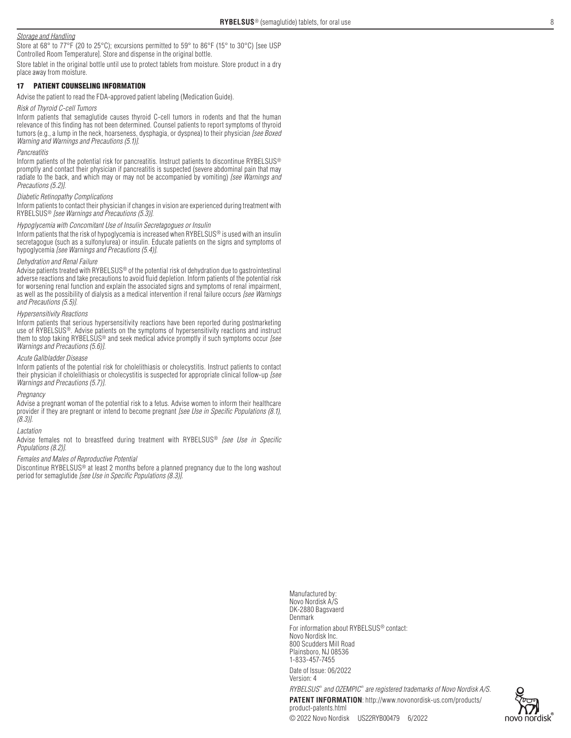## *Storage and Handling*

Store at 68° to 77°F (20 to 25°C); excursions permitted to 59° to 86°F (15° to 30°C) [see USP Controlled Room Temperature]. Store and dispense in the original bottle.

Store tablet in the original bottle until use to protect tablets from moisture. Store product in a dry place away from moisture.

## 17 PATIENT COUNSELING INFORMATION

Advise the patient to read the FDA-approved patient labeling (Medication Guide).

### *Risk of Thyroid C-cell Tumors*

Inform patients that semaglutide causes thyroid C-cell tumors in rodents and that the human relevance of this finding has not been determined. Counsel patients to report symptoms of thyroid tumors (e.g., a lump in the neck, hoarseness, dysphagia, or dyspnea) to their physician *[see Boxed Warning and Warnings and Precautions (5.1)]*.

### *Pancreatitis*

Inform patients of the potential risk for pancreatitis. Instruct patients to discontinue RYBELSUS® promptly and contact their physician if pancreatitis is suspected (severe abdominal pain that may radiate to the back, and which may or may not be accompanied by vomiting) *[see Warnings and Precautions (5.2)]*.

### *Diabetic Retinopathy Complications*

Inform patients to contact their physician if changes in vision are experienced during treatment with RYBELSUS® *[see Warnings and Precautions (5.3)]*.

## *Hypoglycemia with Concomitant Use of Insulin Secretagogues or Insulin*

Inform patients that the risk of hypoglycemia is increased when RYBELSUS® is used with an insulin secretagogue (such as a sulfonylurea) or insulin. Educate patients on the signs and symptoms of hypoglycemia [see Warnings and Precautions (5.4)].

### *Dehydration and Renal Failure*

Advise patients treated with RYBELSUS<sup>®</sup> of the potential risk of dehydration due to gastrointestinal adverse reactions and take precautions to avoid fluid depletion. Inform patients of the potential risk for worsening renal function and explain the associated signs and symptoms of renal impairment, as well as the possibility of dialysis as a medical intervention if renal failure occurs *[see Warnings and Precautions (5.5)]*.

### *Hypersensitivity Reactions*

Inform patients that serious hypersensitivity reactions have been reported during postmarketing use of RYBELSUS®. Advise patients on the symptoms of hypersensitivity reactions and instruct them to stop taking RYBELSUS® and seek medical advice promptly if such symptoms occur *[see* Warnings and Precautions (5.6)].

## *Acute Gallbladder Disease*

Inform patients of the potential risk for cholelithiasis or cholecystitis. Instruct patients to contact their physician if cholelithiasis or cholecystitis is suspected for appropriate clinical follow-up [see Warnings and Precautions (5.7)].

### *Pregnancy*

Advise a pregnant woman of the potential risk to a fetus. Advise women to inform their healthcare provider if they are pregnant or intend to become pregnant *[see Use in Specific Populations (8.1), (8.3)]*.

### *Lactation*

Advise females not to breastfeed during treatment with RYBELSUS® *[see Use in Specific Populations (8.2)]*.

## *Females and Males of Reproductive Potential*

Discontinue RYBELSUS® at least 2 months before a planned pregnancy due to the long washout period for semaglutide *[see Use in Specific Populations (8.3)]*.

> Novo Nordisk A/S DK-2880 Bagsvaerd Denmark For information about RYBELSUS® contact: Novo Nordisk Inc. 800 Scudders Mill Road Plainsboro, NJ 08536 1-833-457-7455 Date of Issue: 06/2022 Version: 4 *RYBELSUS® and OZEMPIC® are registered trademarks of Novo Nordisk A/S.* **PATENT INFORMATION**: http://www.novonordisk-us.com/products/ product-patents.html

Manufactured by: